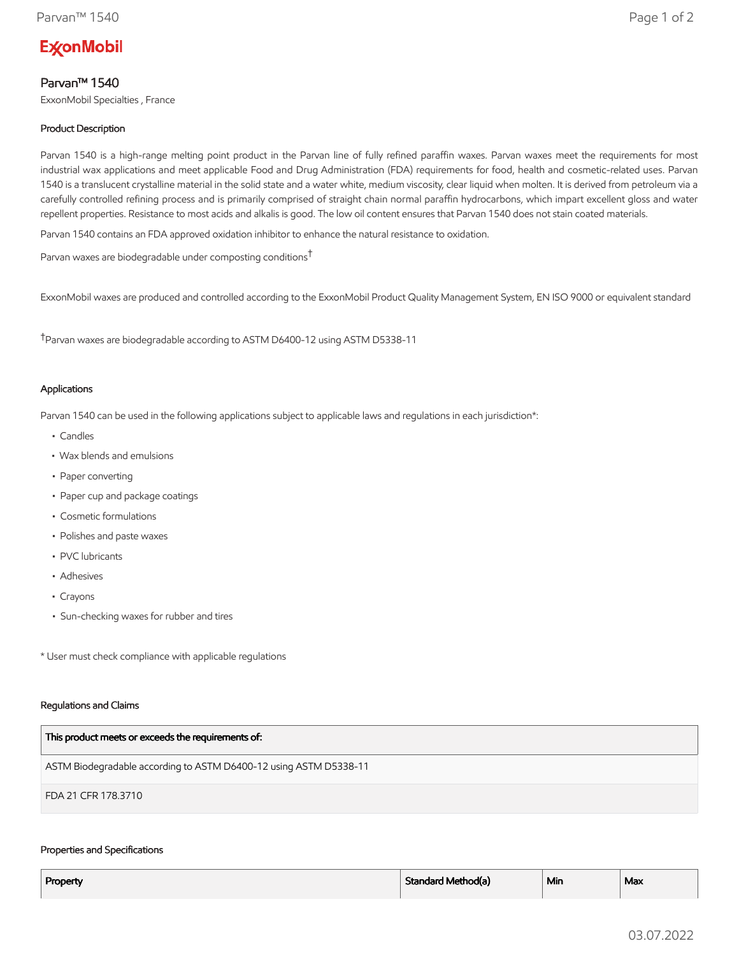# **ExconMobil**

## Parvan™ 1540

ExxonMobil Specialties , France

## Product Description

Parvan 1540 is a high-range melting point product in the Parvan line of fully refined paraffin waxes. Parvan waxes meet the requirements for most industrial wax applications and meet applicable Food and Drug Administration (FDA) requirements for food, health and cosmetic-related uses. Parvan 1540 is a translucent crystalline material in the solid state and a water white, medium viscosity, clear liquid when molten. It is derived from petroleum via a carefully controlled refining process and is primarily comprised of straight chain normal paraffin hydrocarbons, which impart excellent gloss and water repellent properties. Resistance to most acids and alkalis is good. The low oil content ensures that Parvan 1540 does not stain coated materials.

Parvan 1540 contains an FDA approved oxidation inhibitor to enhance the natural resistance to oxidation.

Parvan waxes are biodegradable under composting conditions†

ExxonMobil waxes are produced and controlled according to the ExxonMobil Product Quality Management System, EN ISO 9000 or equivalent standard

†Parvan waxes are biodegradable according to ASTM D6400-12 using ASTM D5338-11

## Applications

Parvan 1540 can be used in the following applications subject to applicable laws and regulations in each jurisdiction\*:

- Candles
- Wax blends and emulsions
- Paper converting
- Paper cup and package coatings
- Cosmetic formulations
- Polishes and paste waxes
- PVC lubricants
- Adhesives
- Crayons
- Sun-checking waxes for rubber and tires

\* User must check compliance with applicable regulations

### Regulations and Claims

| This product meets or exceeds the requirements of:                |
|-------------------------------------------------------------------|
| ASTM Biodegradable according to ASTM D6400-12 using ASTM D5338-11 |
| FDA 21 CFR 178.3710                                               |

### Properties and Specifications

| Property | Standard Method(a) | <sup>1</sup> Min | Max |
|----------|--------------------|------------------|-----|
|          |                    |                  |     |